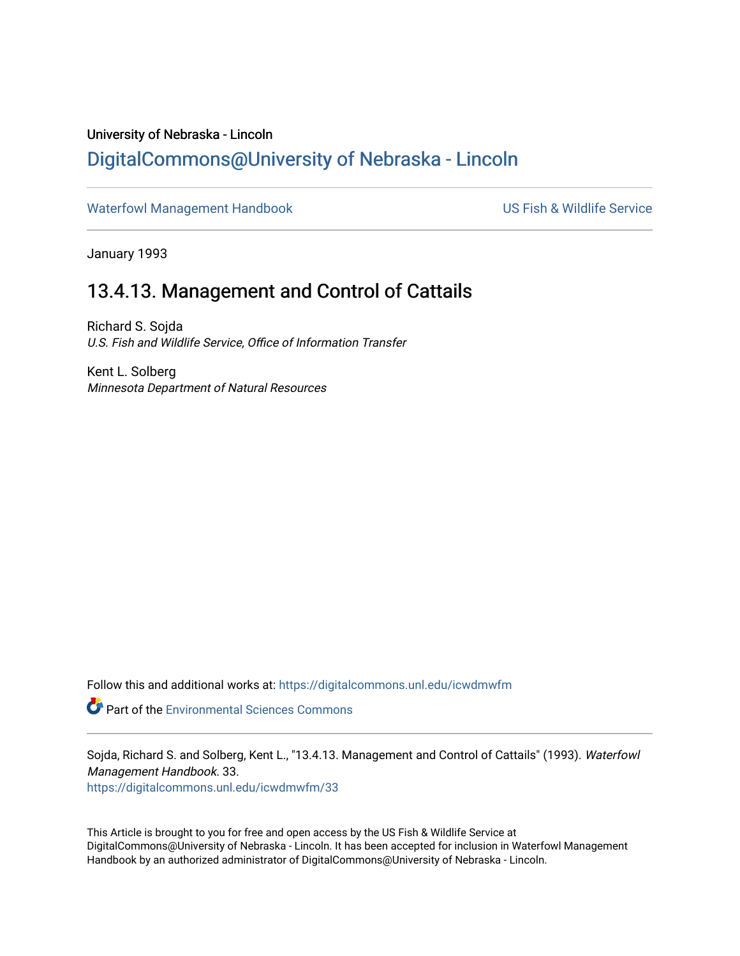## <span id="page-0-0"></span>University of Nebraska - Lincoln [DigitalCommons@University of Nebraska - Lincoln](https://digitalcommons.unl.edu/)

[Waterfowl Management Handbook](https://digitalcommons.unl.edu/icwdmwfm) Waterfowl Management Handbook US Fish & Wildlife Service

January 1993

## 13.4.13. Management and Control of Cattails

Richard S. Sojda U.S. Fish and Wildlife Service, Office of Information Transfer

Kent L. Solberg Minnesota Department of Natural Resources

Follow this and additional works at: [https://digitalcommons.unl.edu/icwdmwfm](https://digitalcommons.unl.edu/icwdmwfm?utm_source=digitalcommons.unl.edu%2Ficwdmwfm%2F33&utm_medium=PDF&utm_campaign=PDFCoverPages) 

Part of the [Environmental Sciences Commons](http://network.bepress.com/hgg/discipline/167?utm_source=digitalcommons.unl.edu%2Ficwdmwfm%2F33&utm_medium=PDF&utm_campaign=PDFCoverPages)

Sojda, Richard S. and Solberg, Kent L., "13.4.13. Management and Control of Cattails" (1993). Waterfowl Management Handbook. 33.

[https://digitalcommons.unl.edu/icwdmwfm/33](https://digitalcommons.unl.edu/icwdmwfm/33?utm_source=digitalcommons.unl.edu%2Ficwdmwfm%2F33&utm_medium=PDF&utm_campaign=PDFCoverPages)

This Article is brought to you for free and open access by the US Fish & Wildlife Service at DigitalCommons@University of Nebraska - Lincoln. It has been accepted for inclusion in Waterfowl Management Handbook by an authorized administrator of DigitalCommons@University of Nebraska - Lincoln.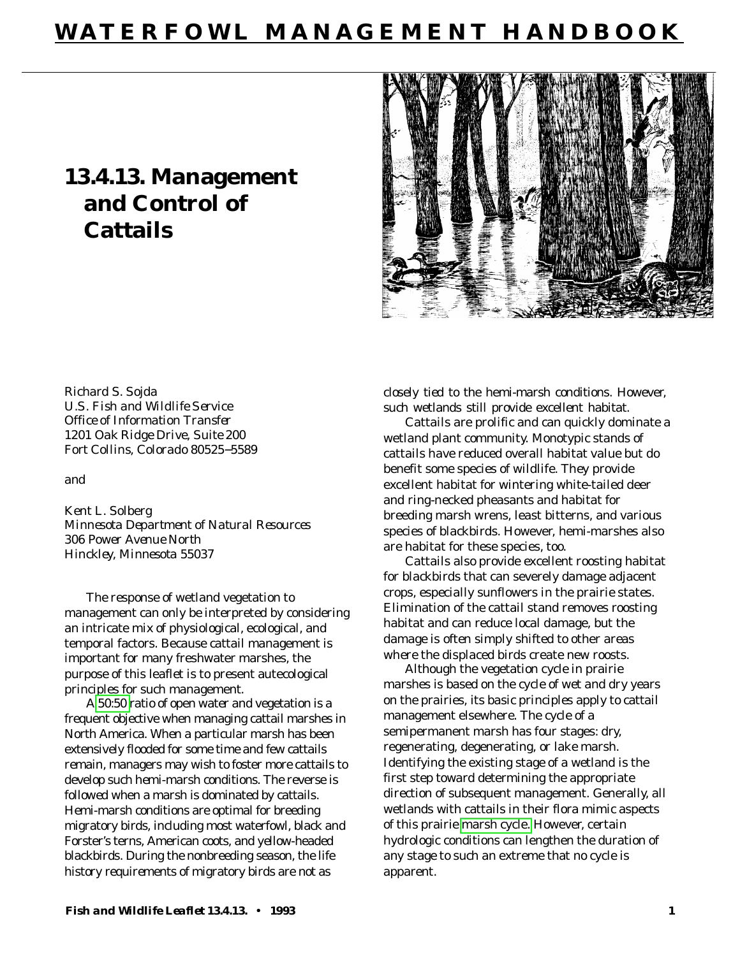# **WATERFOWL MANAGEMENT HANDBOOK**

# **13.4.13. Management and Control of Cattails**



Richard S. Sojda *U.S. Fish and Wildlife Service Office of Information Transfer 1201 Oak Ridge Drive, Suite 200 Fort Collins, Colorado 80525*−*5589*

and

Kent L. Solberg *Minnesota Department of Natural Resources 306 Power Avenue North Hinckley, Minnesota 55037*

The response of wetland vegetation to management can only be interpreted by considering an intricate mix of physiological, ecological, and temporal factors. Because cattail management is important for many freshwater marshes, the purpose of this leaflet is to present autecological principles for such management.

A [50:50](#page-0-0) ratio of open water and vegetation is a frequent objective when managing cattail marshes in North America. When a particular marsh has been extensively flooded for some time and few cattails remain, managers may wish to foster more cattails to develop such hemi-marsh conditions. The reverse is followed when a marsh is dominated by cattails. Hemi-marsh conditions are optimal for breeding migratory birds, including most waterfowl, black and Forster's terns, American coots, and yellow-headed blackbirds. During the nonbreeding season, the life history requirements of migratory birds are not as

closely tied to the hemi-marsh conditions. However, such wetlands still provide excellent habitat.

Cattails are prolific and can quickly dominate a wetland plant community. Monotypic stands of cattails have reduced overall habitat value but do benefit some species of wildlife. They provide excellent habitat for wintering white-tailed deer and ring-necked pheasants and habitat for breeding marsh wrens, least bitterns, and various species of blackbirds. However, hemi-marshes also are habitat for these species, too.

Cattails also provide excellent roosting habitat for blackbirds that can severely damage adjacent crops, especially sunflowers in the prairie states. Elimination of the cattail stand removes roosting habitat and can reduce local damage, but the damage is often simply shifted to other areas where the displaced birds create new roosts.

Although the vegetation cycle in prairie marshes is based on the cycle of wet and dry years on the prairies, its basic principles apply to cattail management elsewhere. The cycle of a semipermanent marsh has four stages: dry, regenerating, degenerating, or lake marsh. Identifying the existing stage of a wetland is the first step toward determining the appropriate direction of subsequent management. Generally, all wetlands with cattails in their flora mimic aspects of this prairie [marsh cycle.](#page-4-0) However, certain hydrologic conditions can lengthen the duration of any stage to such an extreme that no cycle is apparent.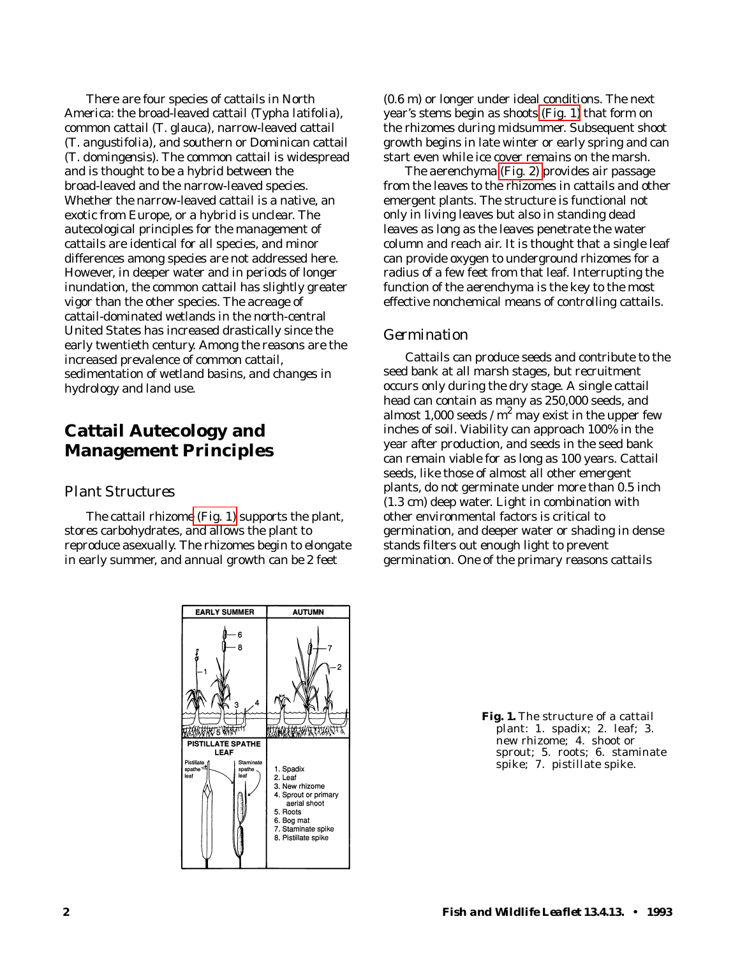There are four species of cattails in North America: the broad-leaved cattail (*Typha latifolia*), common cattail (*T*. *glauca*), narrow-leaved cattail (*T*. *angustifolia*), and southern or Dominican cattail (*T*. *domingensis)*. The common cattail is widespread and is thought to be a hybrid between the broad-leaved and the narrow-leaved species. Whether the narrow-leaved cattail is a native, an exotic from Europe, or a hybrid is unclear. The autecological principles for the management of cattails are identical for all species, and minor differences among species are not addressed here. However, in deeper water and in periods of longer inundation, the common cattail has slightly greater vigor than the other species. The acreage of cattail-dominated wetlands in the north-central United States has increased drastically since the early twentieth century. Among the reasons are the increased prevalence of common cattail, sedimentation of wetland basins, and changes in hydrology and land use.

## **Cattail Autecology and Management Principles**

#### *Plant Structures*

The cattail rhizome (Fig. 1) supports the plant, stores carbohydrates, and allows the plant to reproduce asexually. The rhizomes begin to elongate in early summer, and annual growth can be 2 feet

(0.6 m) or longer under ideal conditions. The next year's stems begin as shoots (Fig. 1) that form on the rhizomes during midsummer. Subsequent shoot growth begins in late winter or early spring and can start even while ice cover remains on the marsh.

The aerenchyma [\(Fig. 2\) p](#page-3-0)rovides air passage from the leaves to the rhizomes in cattails and other emergent plants. The structure is functional not only in living leaves but also in standing dead leaves as long as the leaves penetrate the water column and reach air. It is thought that a single leaf can provide oxygen to underground rhizomes for a radius of a few feet from that leaf. Interrupting the function of the aerenchyma is the key to the most effective nonchemical means of controlling cattails.

#### *Germination*

Cattails can produce seeds and contribute to the seed bank at all marsh stages, but recruitment occurs only during the dry stage. A single cattail head can contain as many as 250,000 seeds, and almost 1,000 seeds /  $m^2$  may exist in the upper few inches of soil. Viability can approach 100% in the year after production, and seeds in the seed bank can remain viable for as long as 100 years. Cattail seeds, like those of almost all other emergent plants, do not germinate under more than 0.5 inch (1.3 cm) deep water. Light in combination with other environmental factors is critical to germination, and deeper water or shading in dense stands filters out enough light to prevent germination. One of the primary reasons cattails



**Fig. 1.** The structure of a cattail plant: 1. spadix; 2. leaf; 3. new rhizome; 4. shoot or sprout; 5. roots; 6. staminate spike; 7. pistillate spike.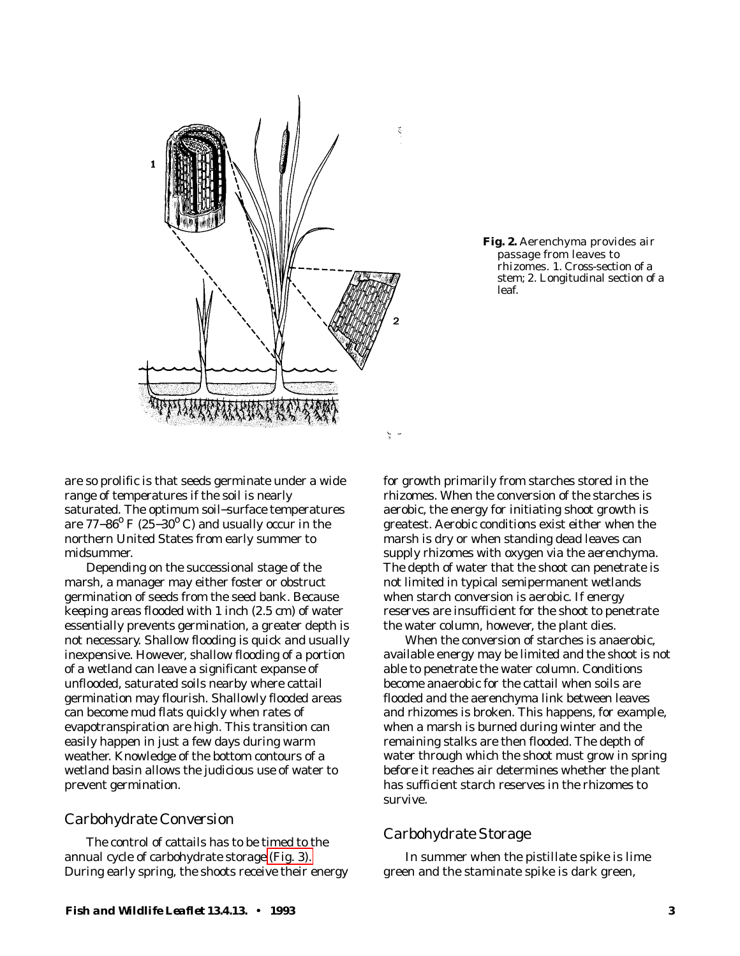<span id="page-3-0"></span>

**Fig. 2.** Aerenchyma provides air passage from leaves to rhizomes. 1. Cross-section of a stem; 2. Longitudinal section of a leaf.

are so prolific is that seeds germinate under a wide range of temperatures if the soil is nearly saturated. The optimum soil−surface temperatures are 77–86<sup>°</sup> F (25–30<sup>°</sup> C) and usually occur in the northern United States from early summer to midsummer.

Depending on the successional stage of the marsh, a manager may either foster or obstruct germination of seeds from the seed bank. Because keeping areas flooded with 1 inch (2.5 cm) of water essentially prevents germination, a greater depth is not necessary. Shallow flooding is quick and usually inexpensive. However, shallow flooding of a portion of a wetland can leave a significant expanse of unflooded, saturated soils nearby where cattail germination may flourish. Shallowly flooded areas can become mud flats quickly when rates of evapotranspiration are high. This transition can easily happen in just a few days during warm weather. Knowledge of the bottom contours of a wetland basin allows the judicious use of water to prevent germination.

#### *Carbohydrate Conversion*

The control of cattails has to be timed to the annual cycle of carbohydrate storage [\(Fig. 3\).](#page-4-0) During early spring, the shoots receive their energy

for growth primarily from starches stored in the rhizomes. When the conversion of the starches is aerobic, the energy for initiating shoot growth is greatest. Aerobic conditions exist either when the marsh is dry or when standing dead leaves can supply rhizomes with oxygen via the aerenchyma. The depth of water that the shoot can penetrate is not limited in typical semipermanent wetlands when starch conversion is aerobic. If energy reserves are insufficient for the shoot to penetrate the water column, however, the plant dies.

When the conversion of starches is anaerobic, available energy may be limited and the shoot is not able to penetrate the water column. Conditions become anaerobic for the cattail when soils are flooded and the aerenchyma link between leaves and rhizomes is broken. This happens, for example, when a marsh is burned during winter and the remaining stalks are then flooded. The depth of water through which the shoot must grow in spring before it reaches air determines whether the plant has sufficient starch reserves in the rhizomes to survive.

#### *Carbohydrate Storage*

In summer when the pistillate spike is lime green and the staminate spike is dark green,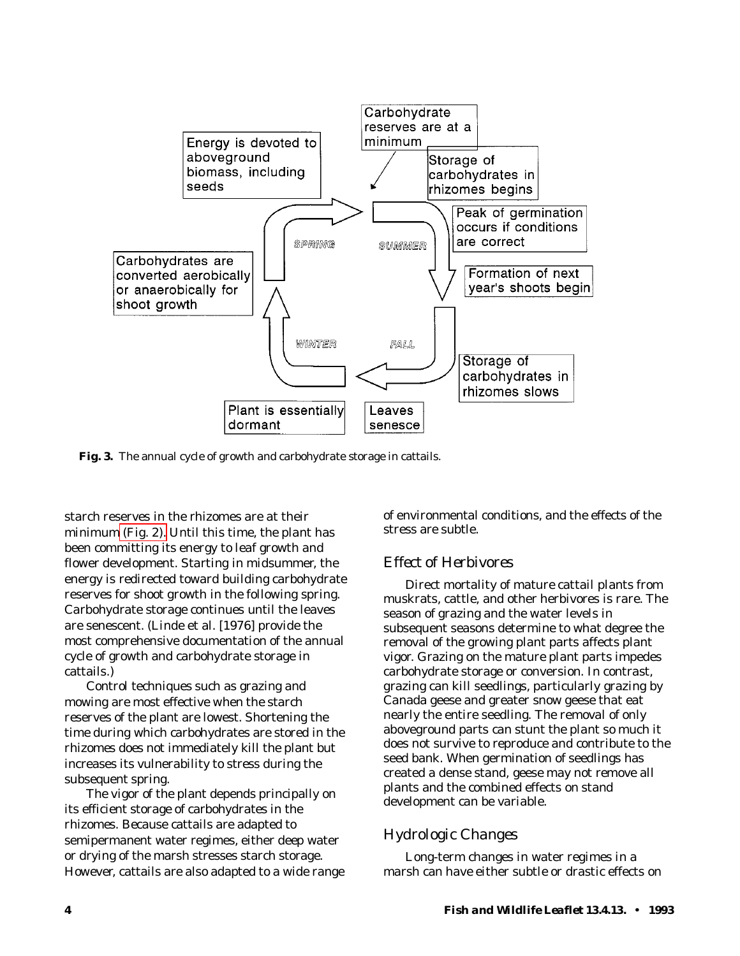<span id="page-4-0"></span>

**Fig. 3.** The annual cycle of growth and carbohydrate storage in cattails.

starch reserves in the rhizomes are at their minimum [\(Fig. 2\).](#page-3-0) Until this time, the plant has been committing its energy to leaf growth and flower development. Starting in midsummer, the energy is redirected toward building carbohydrate reserves for shoot growth in the following spring. Carbohydrate storage continues until the leaves are senescent. (Linde et al. [1976] provide the most comprehensive documentation of the annual cycle of growth and carbohydrate storage in cattails.)

Control techniques such as grazing and mowing are most effective when the starch reserves of the plant are lowest. Shortening the time during which carbohydrates are stored in the rhizomes does not immediately kill the plant but increases its vulnerability to stress during the subsequent spring.

The vigor of the plant depends principally on its efficient storage of carbohydrates in the rhizomes. Because cattails are adapted to semipermanent water regimes, either deep water or drying of the marsh stresses starch storage. However, cattails are also adapted to a wide range of environmental conditions, and the effects of the stress are subtle.

#### *Effect of Herbivores*

Direct mortality of mature cattail plants from muskrats, cattle, and other herbivores is rare. The season of grazing and the water levels in subsequent seasons determine to what degree the removal of the growing plant parts affects plant vigor. Grazing on the mature plant parts impedes carbohydrate storage or conversion. In contrast, grazing can kill seedlings, particularly grazing by Canada geese and greater snow geese that eat nearly the entire seedling. The removal of only aboveground parts can stunt the plant so much it does not survive to reproduce and contribute to the seed bank. When germination of seedlings has created a dense stand, geese may not remove all plants and the combined effects on stand development can be variable.

### *Hydrologic Changes*

Long-term changes in water regimes in a marsh can have either subtle or drastic effects on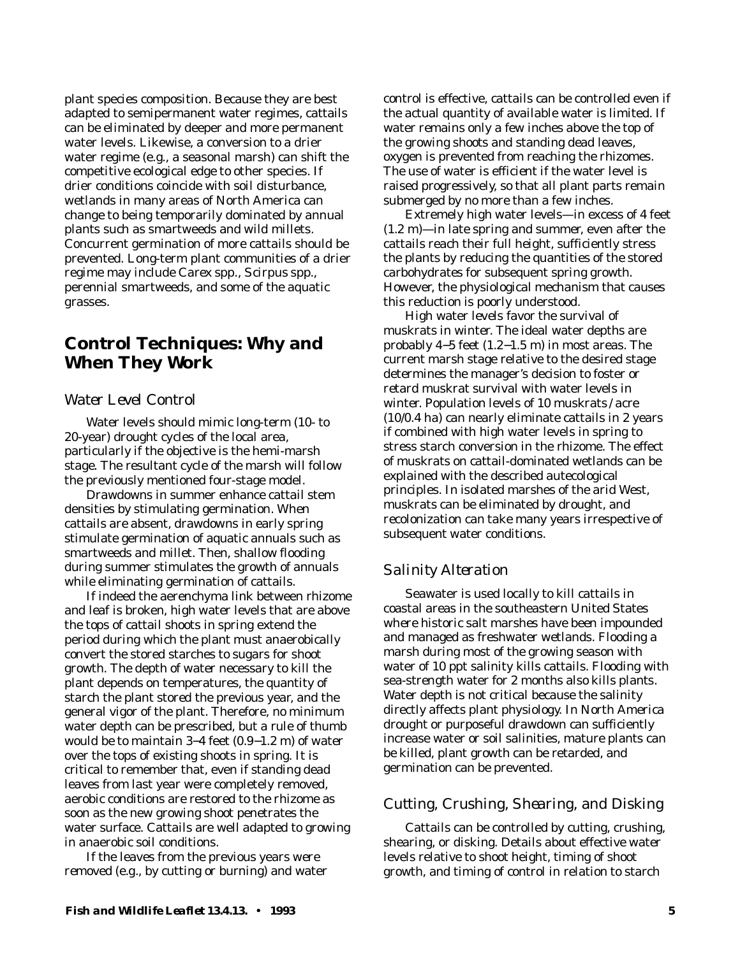plant species composition. Because they are best adapted to semipermanent water regimes, cattails can be eliminated by deeper and more permanent water levels. Likewise, a conversion to a drier water regime (e.g., a seasonal marsh) can shift the competitive ecological edge to other species. If drier conditions coincide with soil disturbance, wetlands in many areas of North America can change to being temporarily dominated by annual plants such as smartweeds and wild millets. Concurrent germination of more cattails should be prevented. Long-term plant communities of a drier regime may include *Carex* spp., *Scirpus* spp., perennial smartweeds, and some of the aquatic grasses.

## **Control Techniques: Why and When They Work**

#### *Water Level Control*

Water levels should mimic long-term (10- to 20-year) drought cycles of the local area, particularly if the objective is the hemi-marsh stage. The resultant cycle of the marsh will follow the previously mentioned four-stage model.

Drawdowns in summer enhance cattail stem densities by stimulating germination. When cattails are absent, drawdowns in early spring stimulate germination of aquatic annuals such as smartweeds and millet. Then, shallow flooding during summer stimulates the growth of annuals while eliminating germination of cattails.

If indeed the aerenchyma link between rhizome and leaf is broken, high water levels that are above the tops of cattail shoots in spring extend the period during which the plant must anaerobically convert the stored starches to sugars for shoot growth. The depth of water necessary to kill the plant depends on temperatures, the quantity of starch the plant stored the previous year, and the general vigor of the plant. Therefore, no minimum water depth can be prescribed, but a rule of thumb would be to maintain 3−4 feet (0.9−1.2 m) of water over the tops of existing shoots in spring. It is critical to remember that, even if standing dead leaves from last year were completely removed, aerobic conditions are restored to the rhizome as soon as the new growing shoot penetrates the water surface. Cattails are well adapted to growing in anaerobic soil conditions.

If the leaves from the previous years were removed (e.g., by cutting or burning) and water control is effective, cattails can be controlled even if the actual quantity of available water is limited. If water remains only a few inches above the top of the growing shoots and standing dead leaves, oxygen is prevented from reaching the rhizomes. The use of water is efficient if the water level is raised progressively, so that all plant parts remain submerged by no more than a few inches.

Extremely high water levels—in excess of 4 feet (1.2 m)—in late spring and summer, even after the cattails reach their full height, sufficiently stress the plants by reducing the quantities of the stored carbohydrates for subsequent spring growth. However, the physiological mechanism that causes this reduction is poorly understood.

High water levels favor the survival of muskrats in winter. The ideal water depths are probably 4−5 feet (1.2−1.5 m) in most areas. The current marsh stage relative to the desired stage determines the manager's decision to foster or retard muskrat survival with water levels in winter. Population levels of 10 muskrats / acre (10/0.4 ha) can nearly eliminate cattails in 2 years if combined with high water levels in spring to stress starch conversion in the rhizome. The effect of muskrats on cattail-dominated wetlands can be explained with the described autecological principles. In isolated marshes of the arid West, muskrats can be eliminated by drought, and recolonization can take many years irrespective of subsequent water conditions.

#### *Salinity Alteration*

Seawater is used locally to kill cattails in coastal areas in the southeastern United States where historic salt marshes have been impounded and managed as freshwater wetlands. Flooding a marsh during most of the growing season with water of 10 ppt salinity kills cattails. Flooding with sea-strength water for 2 months also kills plants. Water depth is not critical because the salinity directly affects plant physiology. In North America drought or purposeful drawdown can sufficiently increase water or soil salinities, mature plants can be killed, plant growth can be retarded, and germination can be prevented.

#### *Cutting, Crushing, Shearing, and Disking*

Cattails can be controlled by cutting, crushing, shearing, or disking. Details about effective water levels relative to shoot height, timing of shoot growth, and timing of control in relation to starch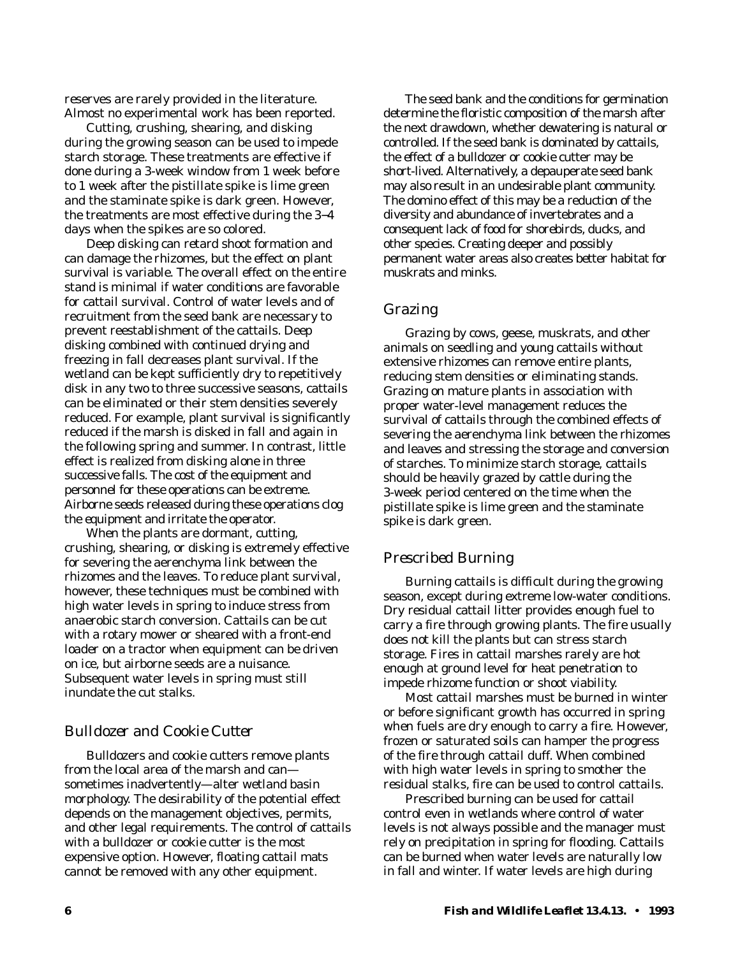reserves are rarely provided in the literature. Almost no experimental work has been reported.

Cutting, crushing, shearing, and disking during the growing season can be used to impede starch storage. These treatments are effective if done during a 3-week window from 1 week before to 1 week after the pistillate spike is lime green and the staminate spike is dark green. However, the treatments are most effective during the 3−4 days when the spikes are so colored.

Deep disking can retard shoot formation and can damage the rhizomes, but the effect on plant survival is variable. The overall effect on the entire stand is minimal if water conditions are favorable for cattail survival. Control of water levels and of recruitment from the seed bank are necessary to prevent reestablishment of the cattails. Deep disking combined with continued drying and freezing in fall decreases plant survival. If the wetland can be kept sufficiently dry to repetitively disk in any two to three successive seasons, cattails can be eliminated or their stem densities severely reduced. For example, plant survival is significantly reduced if the marsh is disked in fall and again in the following spring and summer. In contrast, little effect is realized from disking alone in three successive falls. The cost of the equipment and personnel for these operations can be extreme. Airborne seeds released during these operations clog the equipment and irritate the operator.

When the plants are dormant, cutting, crushing, shearing, or disking is extremely effective for severing the aerenchyma link between the rhizomes and the leaves. To reduce plant survival, however, these techniques must be combined with high water levels in spring to induce stress from anaerobic starch conversion. Cattails can be cut with a rotary mower or sheared with a front-end loader on a tractor when equipment can be driven on ice, but airborne seeds are a nuisance. Subsequent water levels in spring must still inundate the cut stalks.

#### *Bulldozer and Cookie Cutter*

Bulldozers and cookie cutters remove plants from the local area of the marsh and can sometimes inadvertently—alter wetland basin morphology. The desirability of the potential effect depends on the management objectives, permits, and other legal requirements. The control of cattails with a bulldozer or cookie cutter is the most expensive option. However, floating cattail mats cannot be removed with any other equipment.

The seed bank and the conditions for germination determine the floristic composition of the marsh after the next drawdown, whether dewatering is natural or controlled. If the seed bank is dominated by cattails, the effect of a bulldozer or cookie cutter may be short-lived. Alternatively, a depauperate seed bank may also result in an undesirable plant community. The domino effect of this may be a reduction of the diversity and abundance of invertebrates and a consequent lack of food for shorebirds, ducks, and other species. Creating deeper and possibly permanent water areas also creates better habitat for muskrats and minks.

#### *Grazing*

Grazing by cows, geese, muskrats, and other animals on seedling and young cattails without extensive rhizomes can remove entire plants, reducing stem densities or eliminating stands. Grazing on mature plants in association with proper water-level management reduces the survival of cattails through the combined effects of severing the aerenchyma link between the rhizomes and leaves and stressing the storage and conversion of starches. To minimize starch storage, cattails should be heavily grazed by cattle during the 3-week period centered on the time when the pistillate spike is lime green and the staminate spike is dark green.

#### *Prescribed Burning*

Burning cattails is difficult during the growing season, except during extreme low-water conditions. Dry residual cattail litter provides enough fuel to carry a fire through growing plants. The fire usually does not kill the plants but can stress starch storage. Fires in cattail marshes rarely are hot enough at ground level for heat penetration to impede rhizome function or shoot viability.

Most cattail marshes must be burned in winter or before significant growth has occurred in spring when fuels are dry enough to carry a fire. However, frozen or saturated soils can hamper the progress of the fire through cattail duff. When combined with high water levels in spring to smother the residual stalks, fire can be used to control cattails.

Prescribed burning can be used for cattail control even in wetlands where control of water levels is not always possible and the manager must rely on precipitation in spring for flooding. Cattails can be burned when water levels are naturally low in fall and winter. If water levels are high during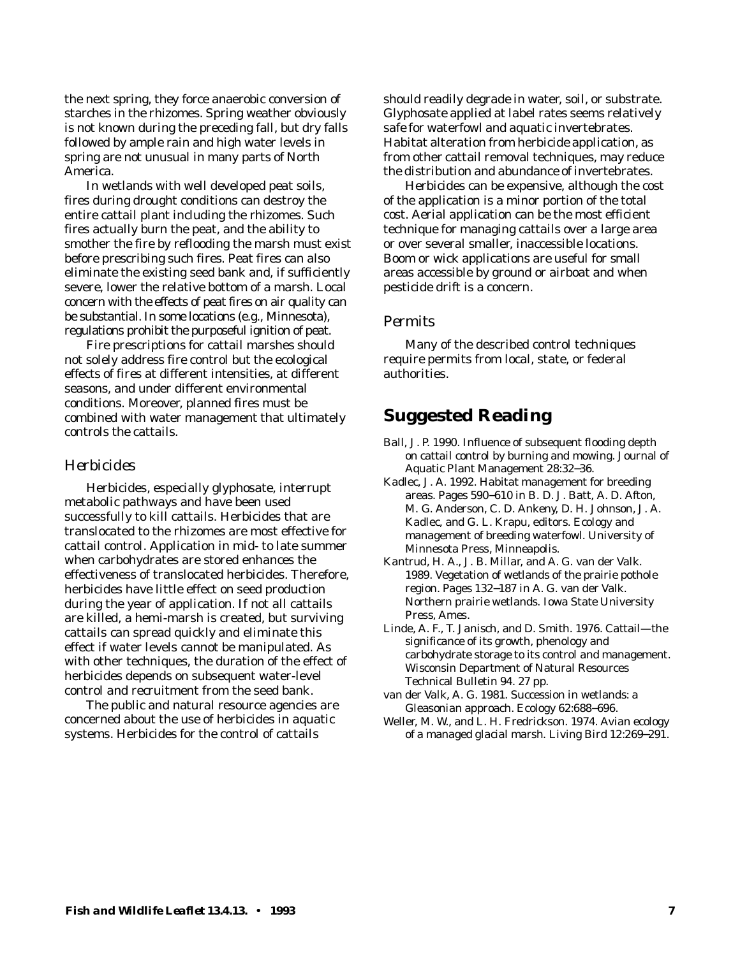the next spring, they force anaerobic conversion of starches in the rhizomes. Spring weather obviously is not known during the preceding fall, but dry falls followed by ample rain and high water levels in spring are not unusual in many parts of North America.

In wetlands with well developed peat soils, fires during drought conditions can destroy the entire cattail plant including the rhizomes. Such fires actually burn the peat, and the ability to smother the fire by reflooding the marsh must exist before prescribing such fires. Peat fires can also eliminate the existing seed bank and, if sufficiently severe, lower the relative bottom of a marsh. Local concern with the effects of peat fires on air quality can be substantial. In some locations (e.g., Minnesota), regulations prohibit the purposeful ignition of peat.

Fire prescriptions for cattail marshes should not solely address fire control but the ecological effects of fires at different intensities, at different seasons, and under different environmental conditions. Moreover, planned fires must be combined with water management that ultimately controls the cattails.

#### *Herbicides*

Herbicides, especially glyphosate, interrupt metabolic pathways and have been used successfully to kill cattails. Herbicides that are translocated to the rhizomes are most effective for cattail control. Application in mid- to late summer when carbohydrates are stored enhances the effectiveness of translocated herbicides. Therefore, herbicides have little effect on seed production during the year of application. If not all cattails are killed, a hemi-marsh is created, but surviving cattails can spread quickly and eliminate this effect if water levels cannot be manipulated. As with other techniques, the duration of the effect of herbicides depends on subsequent water-level control and recruitment from the seed bank.

The public and natural resource agencies are concerned about the use of herbicides in aquatic systems. Herbicides for the control of cattails

should readily degrade in water, soil, or substrate. Glyphosate applied at label rates seems relatively safe for waterfowl and aquatic invertebrates. Habitat alteration from herbicide application, as from other cattail removal techniques, may reduce the distribution and abundance of invertebrates.

Herbicides can be expensive, although the cost of the application is a minor portion of the total cost. Aerial application can be the most efficient technique for managing cattails over a large area or over several smaller, inaccessible locations. Boom or wick applications are useful for small areas accessible by ground or airboat and when pesticide drift is a concern.

#### *Permits*

Many of the described control techniques require permits from local, state, or federal authorities.

### **Suggested Reading**

- Ball, J. P. 1990. Influence of subsequent flooding depth on cattail control by burning and mowing. Journal of Aquatic Plant Management 28:32−36.
- Kadlec, J. A. 1992. Habitat management for breeding areas. Pages 590−610 *in* B. D. J. Batt, A. D. Afton, M. G. Anderson, C. D. Ankeny, D. H. Johnson, J. A. Kadlec, and G. L. Krapu, editors. Ecology and management of breeding waterfowl. University of Minnesota Press, Minneapolis.
- Kantrud, H. A., J. B. Millar, and A. G. van der Valk. 1989. Vegetation of wetlands of the prairie pothole region. Pages 132−187 *in* A. G. van der Valk. Northern prairie wetlands. Iowa State University Press, Ames.
- Linde, A. F., T. Janisch, and D. Smith. 1976. Cattail—the significance of its growth, phenology and carbohydrate storage to its control and management. Wisconsin Department of Natural Resources Technical Bulletin 94. 27 pp.
- van der Valk, A. G. 1981. Succession in wetlands: a Gleasonian approach. Ecology 62:688−696.
- Weller, M. W., and L. H. Fredrickson. 1974. Avian ecology of a managed glacial marsh. Living Bird 12:269−291.